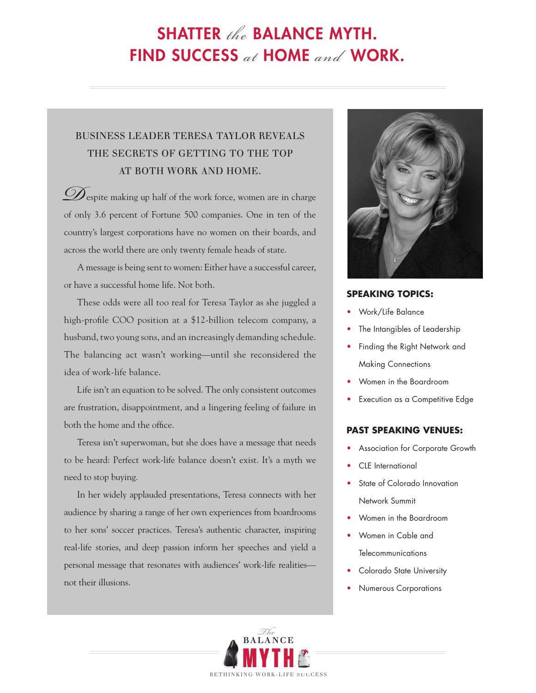# SHATTER the BALANCE MYTH. FIND SUCCESS at HOME and WORK.

## BUSINESS LEADER TERESA TAYLOR REVEALS THE SECRETS OF GETTING TO THE TOP AT BOTH WORK AND HOME.

 $\mathscr{D}_{\textrm{espite}}$  making up half of the work force, women are in charge of only 3.6 percent of Fortune 500 companies. One in ten of the country's largest corporations have no women on their boards, and across the world there are only twenty female heads of state.

A message is being sent to women: Either have a successful career, or have a successful home life. Not both.

These odds were all too real for Teresa Taylor as she juggled a high-profile COO position at a \$12-billion telecom company, a husband, two young sons, and an increasingly demanding schedule. The balancing act wasn't working—until she reconsidered the idea of work-life balance.

Life isn't an equation to be solved. The only consistent outcomes are frustration, disappointment, and a lingering feeling of failure in both the home and the office.

Teresa isn't superwoman, but she does have a message that needs to be heard: Perfect work-life balance doesn't exist. It's a myth we need to stop buying.

In her widely applauded presentations, Teresa connects with her audience by sharing a range of her own experiences from boardrooms to her sons' soccer practices. Teresa's authentic character, inspiring real-life stories, and deep passion inform her speeches and yield a personal message that resonates with audiences' work-life realities not their illusions.



#### **SPEAKING TOPICS:**

- Work/Life Balance
- The Intangibles of Leadership
- Finding the Right Network and Making Connections
- Women in the Boardroom
- Execution as a Competitive Edge

#### **PAST SPEAKING VENUES:**

- Association for Corporate Growth
- CLE International
- State of Colorado Innovation Network Summit
- Women in the Boardroom
- t Women in Cable and Telecommunications
- Colorado State University
- Numerous Corporations

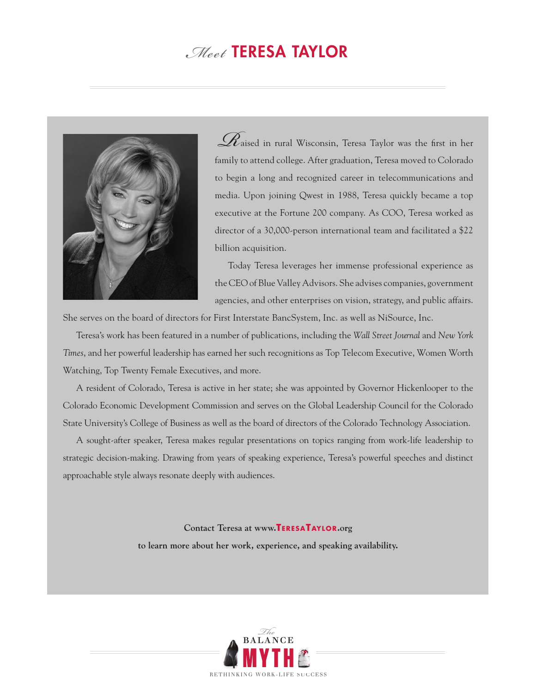# . Meet TERESA TAYLOR



 $\mathscr{R}_{\textrm{aised in rural Wisconsin, Teresa Taylor was the first in her}}$ family to attend college. After graduation, Teresa moved to Colorado to begin a long and recognized career in telecommunications and media. Upon joining Qwest in 1988, Teresa quickly became a top executive at the Fortune 200 company. As COO, Teresa worked as director of a 30,000-person international team and facilitated a \$22 billion acquisition.

Today Teresa leverages her immense professional experience as the CEO of Blue Valley Advisors. She advises companies, government agencies, and other enterprises on vision, strategy, and public affairs.

She serves on the board of directors for First Interstate BancSystem, Inc. as well as NiSource, Inc.

Teresa's work has been featured in a number of publications, including the *Wall Street Journal* and *New York Times*, and her powerful leadership has earned her such recognitions as Top Telecom Executive, Women Worth Watching, Top Twenty Female Executives, and more.

A resident of Colorado, Teresa is active in her state; she was appointed by Governor Hickenlooper to the Colorado Economic Development Commission and serves on the Global Leadership Council for the Colorado State University's College of Business as well as the board of directors of the Colorado Technology Association.

A sought-after speaker, Teresa makes regular presentations on topics ranging from work-life leadership to strategic decision-making. Drawing from years of speaking experience, Teresa's powerful speeches and distinct approachable style always resonate deeply with audiences.

#### **Contact Teresa at www.TERESATAYLOR.org**

**to learn more about her work, experience, and speaking availability.**